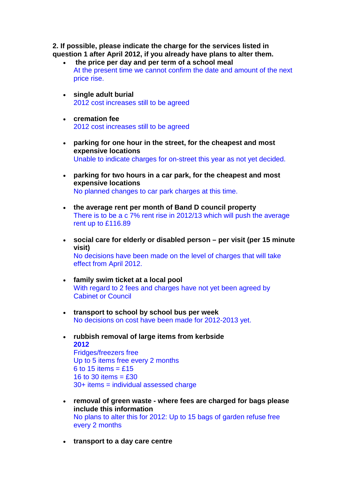**2. If possible, please indicate the charge for the services listed in question 1 after April 2012, if you already have plans to alter them.** 

- **the price per day and per term of a school meal**  At the present time we cannot confirm the date and amount of the next price rise.
- **single adult burial**  2012 cost increases still to be agreed
- **cremation fee**  2012 cost increases still to be agreed
- **parking for one hour in the street, for the cheapest and most expensive locations**  Unable to indicate charges for on-street this year as not yet decided.
- **parking for two hours in a car park, for the cheapest and most expensive locations**  No planned changes to car park charges at this time.
- **the average rent per month of Band D council property**  There is to be a c 7% rent rise in 2012/13 which will push the average rent up to £116.89
- **social care for elderly or disabled person – per visit (per 15 minute visit)**  No decisions have been made on the level of charges that will take effect from April 2012.
- **family swim ticket at a local pool** With regard to 2 fees and charges have not yet been agreed by Cabinet or Council
- **transport to school by school bus per week**  No decisions on cost have been made for 2012-2013 yet.
- **rubbish removal of large items from kerbside 2012**  Fridges/freezers free Up to 5 items free every 2 months 6 to 15 items =  $£15$ 16 to 30 items  $=$  £30 30+ items = individual assessed charge
- **removal of green waste - where fees are charged for bags please include this information** No plans to alter this for 2012: Up to 15 bags of garden refuse free every 2 months
- **transport to a day care centre**